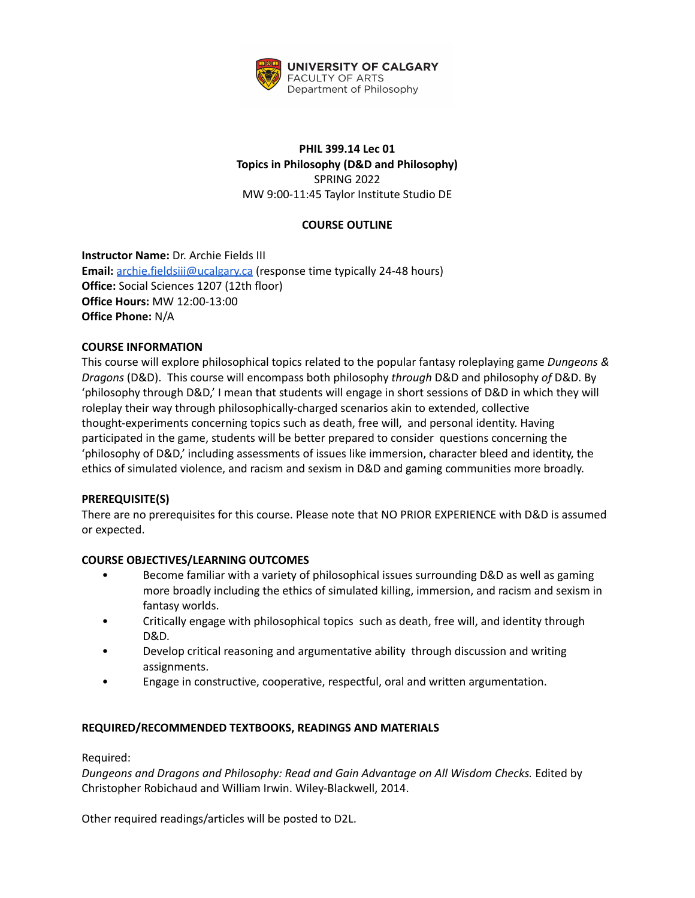

# **PHIL 399.14 Lec 01 Topics in Philosophy (D&D and Philosophy)** SPRING 2022 MW 9:00-11:45 Taylor Institute Studio DE

## **COURSE OUTLINE**

**Instructor Name:** Dr. Archie Fields III **Email:** [archie.fieldsiii@ucalgary.ca](mailto:archie.fieldsiii@ucalgary.ca) (response time typically 24-48 hours) **Office:** Social Sciences 1207 (12th floor) **Office Hours:** MW 12:00-13:00 **Office Phone:** N/A

## **COURSE INFORMATION**

This course will explore philosophical topics related to the popular fantasy roleplaying game *Dungeons & Dragons* (D&D). This course will encompass both philosophy *through* D&D and philosophy *of* D&D. By 'philosophy through D&D,' I mean that students will engage in short sessions of D&D in which they will roleplay their way through philosophically-charged scenarios akin to extended, collective thought-experiments concerning topics such as death, free will, and personal identity. Having participated in the game, students will be better prepared to consider questions concerning the 'philosophy of D&D,' including assessments of issues like immersion, character bleed and identity, the ethics of simulated violence, and racism and sexism in D&D and gaming communities more broadly.

## **PREREQUISITE(S)**

There are no prerequisites for this course. Please note that NO PRIOR EXPERIENCE with D&D is assumed or expected.

## **COURSE OBJECTIVES/LEARNING OUTCOMES**

- Become familiar with a variety of philosophical issues surrounding D&D as well as gaming more broadly including the ethics of simulated killing, immersion, and racism and sexism in fantasy worlds.
- Critically engage with philosophical topics such as death, free will, and identity through D&D.
- Develop critical reasoning and argumentative ability through discussion and writing assignments.
- Engage in constructive, cooperative, respectful, oral and written argumentation.

## **REQUIRED/RECOMMENDED TEXTBOOKS, READINGS AND MATERIALS**

Required:

*Dungeons and Dragons and Philosophy: Read and Gain Advantage on All Wisdom Checks.* Edited by Christopher Robichaud and William Irwin. Wiley-Blackwell, 2014.

Other required readings/articles will be posted to D2L.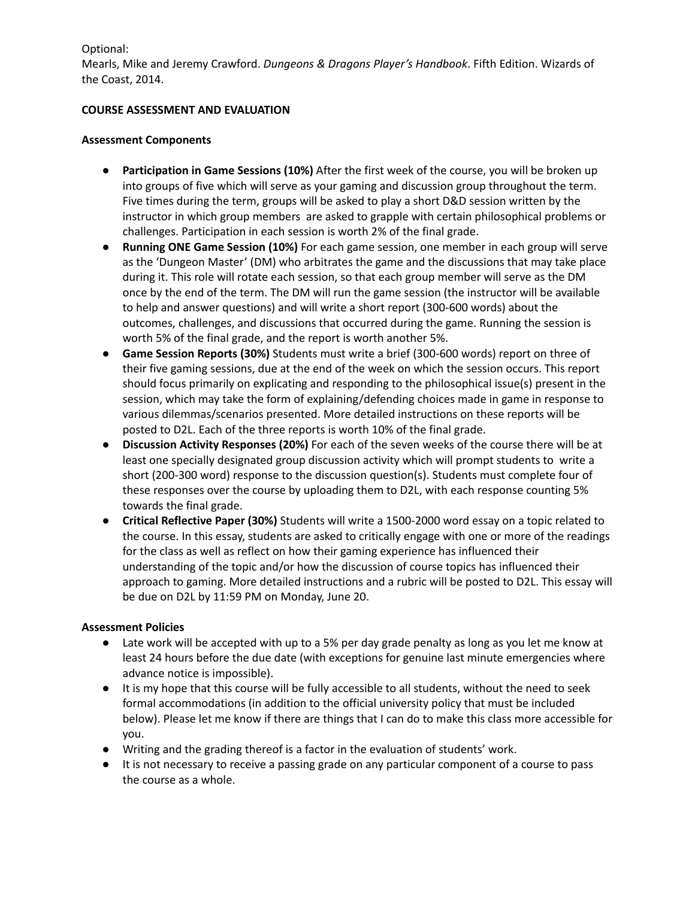Optional:

Mearls, Mike and Jeremy Crawford. *Dungeons & Dragons Player's Handbook*. Fifth Edition. Wizards of the Coast, 2014.

### **COURSE ASSESSMENT AND EVALUATION**

#### **Assessment Components**

- **● Participation in Game Sessions (10%)** After the first week of the course, you will be broken up into groups of five which will serve as your gaming and discussion group throughout the term. Five times during the term, groups will be asked to play a short D&D session written by the instructor in which group members are asked to grapple with certain philosophical problems or challenges. Participation in each session is worth 2% of the final grade.
- **● Running ONE Game Session (10%)** For each game session, one member in each group will serve as the 'Dungeon Master' (DM) who arbitrates the game and the discussions that may take place during it. This role will rotate each session, so that each group member will serve as the DM once by the end of the term. The DM will run the game session (the instructor will be available to help and answer questions) and will write a short report (300-600 words) about the outcomes, challenges, and discussions that occurred during the game. Running the session is worth 5% of the final grade, and the report is worth another 5%.
- **● Game Session Reports (30%)** Students must write a brief (300-600 words) report on three of their five gaming sessions, due at the end of the week on which the session occurs. This report should focus primarily on explicating and responding to the philosophical issue(s) present in the session, which may take the form of explaining/defending choices made in game in response to various dilemmas/scenarios presented. More detailed instructions on these reports will be posted to D2L. Each of the three reports is worth 10% of the final grade.
- **● Discussion Activity Responses (20%)** For each of the seven weeks of the course there will be at least one specially designated group discussion activity which will prompt students to write a short (200-300 word) response to the discussion question(s). Students must complete four of these responses over the course by uploading them to D2L, with each response counting 5% towards the final grade.
- **● Critical Reflective Paper (30%)** Students will write a 1500-2000 word essay on a topic related to the course. In this essay, students are asked to critically engage with one or more of the readings for the class as well as reflect on how their gaming experience has influenced their understanding of the topic and/or how the discussion of course topics has influenced their approach to gaming. More detailed instructions and a rubric will be posted to D2L. This essay will be due on D2L by 11:59 PM on Monday, June 20.

## **Assessment Policies**

- Late work will be accepted with up to a 5% per day grade penalty as long as you let me know at least 24 hours before the due date (with exceptions for genuine last minute emergencies where advance notice is impossible).
- It is my hope that this course will be fully accessible to all students, without the need to seek formal accommodations (in addition to the official university policy that must be included below). Please let me know if there are things that I can do to make this class more accessible for you.
- Writing and the grading thereof is a factor in the evaluation of students' work.
- It is not necessary to receive a passing grade on any particular component of a course to pass the course as a whole.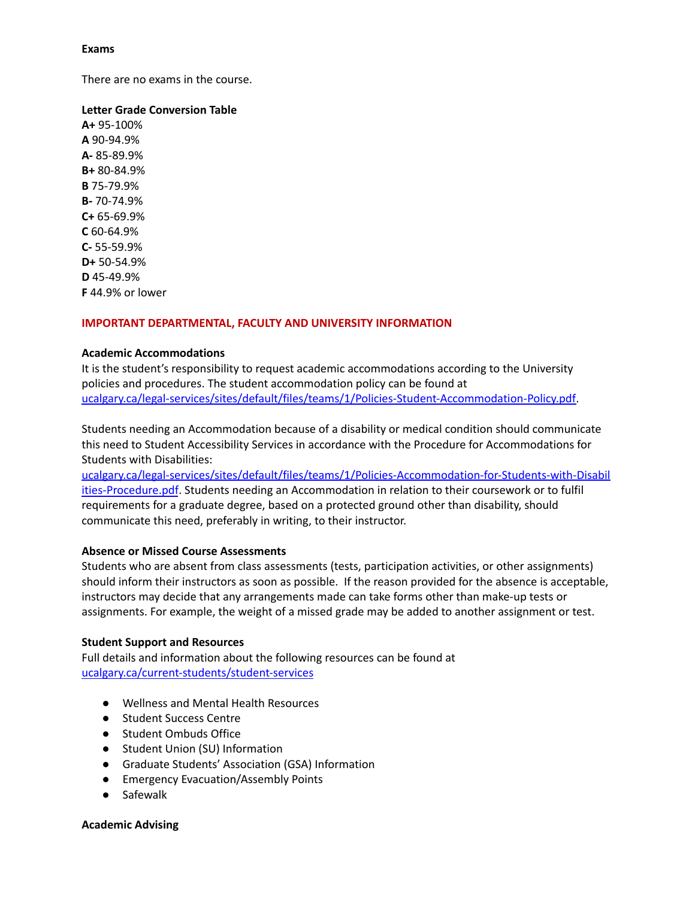### **Exams**

There are no exams in the course.

### **Letter Grade Conversion Table**

**A+** 95-100% **A** 90-94.9% **A-** 85-89.9% **B+** 80-84.9% **B** 75-79.9% **B-** 70-74.9% **C+** 65-69.9% **C** 60-64.9% **C-** 55-59.9% **D+** 50-54.9% **D** 45-49.9% **F** 44.9% or lower

#### **IMPORTANT DEPARTMENTAL, FACULTY AND UNIVERSITY INFORMATION**

#### **Academic Accommodations**

It is the student's responsibility to request academic accommodations according to the University policies and procedures. The student accommodation policy can be found at [ucalgary.ca/legal-services/sites/default/files/teams/1/Policies-Student-Accommodation-Policy.pdf.](http://www.ucalgary.ca/legal-services/sites/default/files/teams/1/Policies-Student-Accommodation-Policy.pdf)

Students needing an Accommodation because of a disability or medical condition should communicate this need to Student Accessibility Services in accordance with the Procedure for Accommodations for Students with Disabilities:

[ucalgary.ca/legal-services/sites/default/files/teams/1/Policies-Accommodation-for-Students-with-Disabil](https://www.ucalgary.ca/legal-services/sites/default/files/teams/1/Policies-Accommodation-for-Students-with-Disabilities-Procedure.pdf) [ities-Procedure.pdf](https://www.ucalgary.ca/legal-services/sites/default/files/teams/1/Policies-Accommodation-for-Students-with-Disabilities-Procedure.pdf). Students needing an Accommodation in relation to their coursework or to fulfil requirements for a graduate degree, based on a protected ground other than disability, should communicate this need, preferably in writing, to their instructor.

## **Absence or Missed Course Assessments**

Students who are absent from class assessments (tests, participation activities, or other assignments) should inform their instructors as soon as possible. If the reason provided for the absence is acceptable, instructors may decide that any arrangements made can take forms other than make-up tests or assignments. For example, the weight of a missed grade may be added to another assignment or test.

#### **Student Support and Resources**

Full details and information about the following resources can be found at [ucalgary.ca/current-students/student-services](https://www.ucalgary.ca/current-students/student-services)

- Wellness and Mental Health Resources
- Student Success Centre
- Student Ombuds Office
- Student Union (SU) Information
- Graduate Students' Association (GSA) Information
- Emergency Evacuation/Assembly Points
- Safewalk

#### **Academic Advising**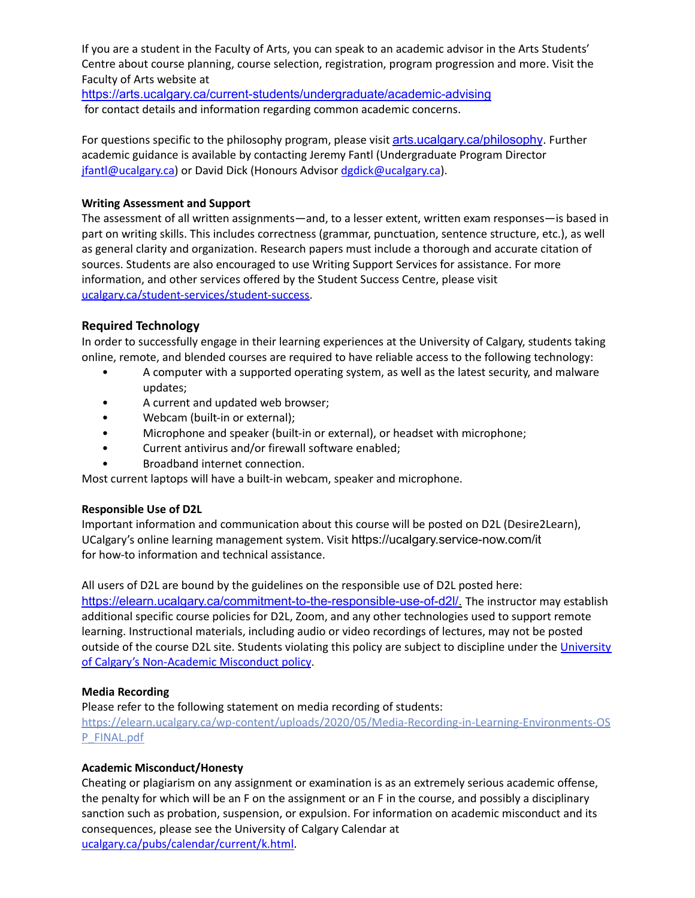If you are a student in the Faculty of Arts, you can speak to an academic advisor in the Arts Students' Centre about course planning, course selection, registration, program progression and more. Visit the Faculty of Arts website at

<https://arts.ucalgary.ca/current-students/undergraduate/academic-advising> for contact details and information regarding common academic concerns.

For questions specific to the philosophy program, please visit arts.ucalgary.ca/philosophy. Further academic guidance is available by contacting Jeremy Fantl (Undergraduate Program Director [jfantl@ucalgary.ca\)](mailto:jfantl@ucalgary.ca) or David Dick (Honours Advisor [dgdick@ucalgary.ca](mailto:dgdick@ucalgary.ca)).

## **Writing Assessment and Support**

The assessment of all written assignments—and, to a lesser extent, written exam responses—is based in part on writing skills. This includes correctness (grammar, punctuation, sentence structure, etc.), as well as general clarity and organization. Research papers must include a thorough and accurate citation of sources. Students are also encouraged to use Writing Support Services for assistance. For more information, and other services offered by the Student Success Centre, please visit [ucalgary.ca/student-services/student-success.](https://ucalgary.ca/student-services/student-success)

# **Required Technology**

In order to successfully engage in their learning experiences at the University of Calgary, students taking online, remote, and blended courses are required to have reliable access to the following technology:

- A computer with a supported operating system, as well as the latest security, and malware updates;
- A current and updated web browser;
- Webcam (built-in or external);
- Microphone and speaker (built-in or external), or headset with microphone;
- Current antivirus and/or firewall software enabled;
- Broadband internet connection.

Most current laptops will have a built-in webcam, speaker and microphone.

# **Responsible Use of D2L**

Important information and communication about this course will be posted on D2L (Desire2Learn), UCalgary's online learning management system. Visit https://ucalgary.service-now.com/it for how-to information and technical assistance.

All users of D2L are bound by the guidelines on the responsible use of D2L posted here: <https://elearn.ucalgary.ca/commitment-to-the-responsible-use-of-d2l/>. The instructor may establish additional specific course policies for D2L, Zoom, and any other technologies used to support remote learning. Instructional materials, including audio or video recordings of lectures, may not be posted outside of the course D2L site. Students violating this policy are subject to discipline under the [University](https://www.ucalgary.ca/legal-services/sites/default/files/teams/1/Policies-Student-Non-Academic-Misconduct-Policy.pdf) of Calgary's [Non-Academic](https://www.ucalgary.ca/legal-services/sites/default/files/teams/1/Policies-Student-Non-Academic-Misconduct-Policy.pdf) Misconduct policy.

# **Media Recording**

Please refer to the following statement on media recording of students:

[https://elearn.ucalgary.ca/wp-content/uploads/2020/05/Media-Recording-in-Learning-Environments-OS](https://elearn.ucalgary.ca/wp-content/uploads/2020/05/Media-Recording-in-Learning-Environments-OSP_FINAL.pdf) [P\\_FINAL.pdf](https://elearn.ucalgary.ca/wp-content/uploads/2020/05/Media-Recording-in-Learning-Environments-OSP_FINAL.pdf)

# **Academic Misconduct/Honesty**

Cheating or plagiarism on any assignment or examination is as an extremely serious academic offense, the penalty for which will be an F on the assignment or an F in the course, and possibly a disciplinary sanction such as probation, suspension, or expulsion. For information on academic misconduct and its consequences, please see the University of Calgary Calendar at [ucalgary.ca/pubs/calendar/current/k.html.](https://ucalgary.ca/pubs/calendar/current/k.html)